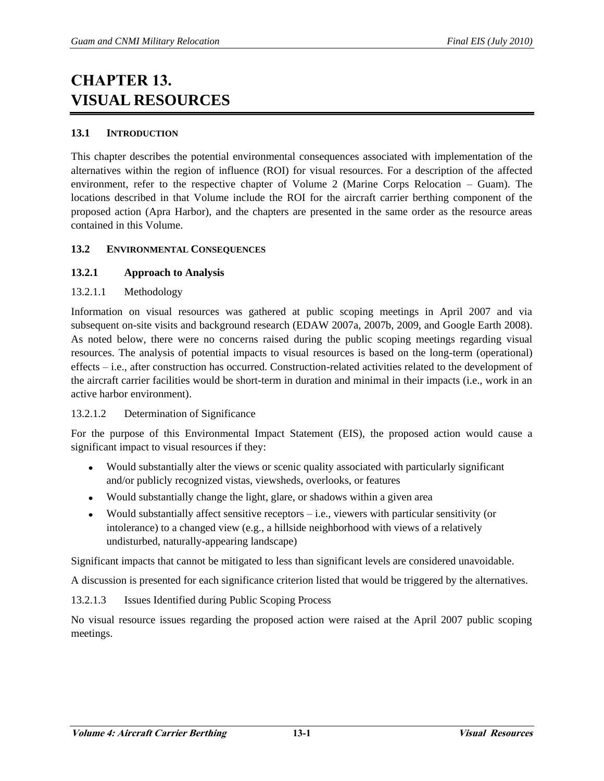# **CHAPTER 13. VISUAL RESOURCES**

## **13.1 INTRODUCTION**

This chapter describes the potential environmental consequences associated with implementation of the alternatives within the region of influence (ROI) for visual resources. For a description of the affected environment, refer to the respective chapter of Volume 2 (Marine Corps Relocation – Guam). The locations described in that Volume include the ROI for the aircraft carrier berthing component of the proposed action (Apra Harbor), and the chapters are presented in the same order as the resource areas contained in this Volume.

## **13.2 ENVIRONMENTAL CONSEQUENCES**

## **13.2.1 Approach to Analysis**

## 13.2.1.1 Methodology

Information on visual resources was gathered at public scoping meetings in April 2007 and via subsequent on-site visits and background research (EDAW 2007a, 2007b, 2009, and Google Earth 2008). As noted below, there were no concerns raised during the public scoping meetings regarding visual resources. The analysis of potential impacts to visual resources is based on the long-term (operational) effects – i.e., after construction has occurred. Construction-related activities related to the development of the aircraft carrier facilities would be short-term in duration and minimal in their impacts (i.e., work in an active harbor environment).

## 13.2.1.2 Determination of Significance

For the purpose of this Environmental Impact Statement (EIS), the proposed action would cause a significant impact to visual resources if they:

- Would substantially alter the views or scenic quality associated with particularly significant and/or publicly recognized vistas, viewsheds, overlooks, or features
- Would substantially change the light, glare, or shadows within a given area  $\bullet$
- Would substantially affect sensitive receptors i.e., viewers with particular sensitivity (or intolerance) to a changed view (e.g., a hillside neighborhood with views of a relatively undisturbed, naturally-appearing landscape)

Significant impacts that cannot be mitigated to less than significant levels are considered unavoidable.

A discussion is presented for each significance criterion listed that would be triggered by the alternatives.

13.2.1.3 Issues Identified during Public Scoping Process

No visual resource issues regarding the proposed action were raised at the April 2007 public scoping meetings.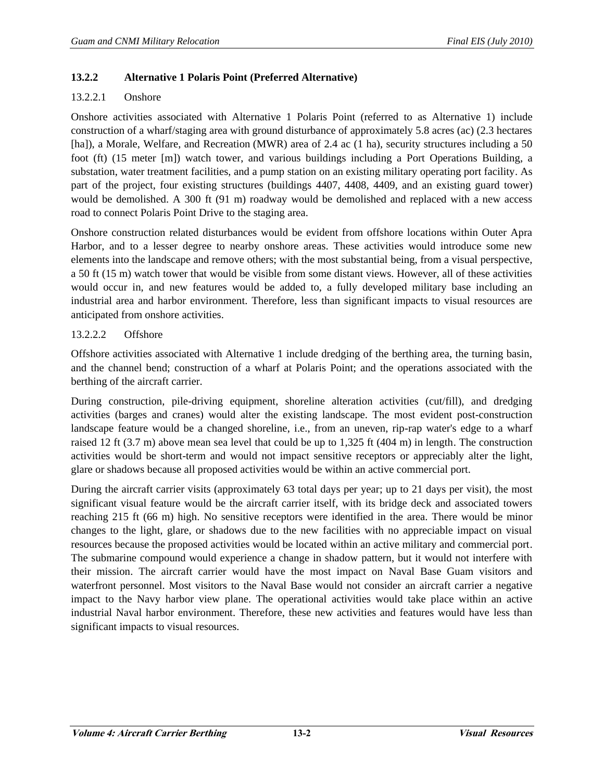## **13.2.2 Alternative 1 Polaris Point (Preferred Alternative)**

#### 13.2.2.1 Onshore

Onshore activities associated with Alternative 1 Polaris Point (referred to as Alternative 1) include construction of a wharf/staging area with ground disturbance of approximately 5.8 acres (ac) (2.3 hectares [ha]), a Morale, Welfare, and Recreation (MWR) area of 2.4 ac (1 ha), security structures including a 50 foot (ft) (15 meter [m]) watch tower, and various buildings including a Port Operations Building, a substation, water treatment facilities, and a pump station on an existing military operating port facility. As part of the project, four existing structures (buildings 4407, 4408, 4409, and an existing guard tower) would be demolished. A 300 ft (91 m) roadway would be demolished and replaced with a new access road to connect Polaris Point Drive to the staging area.

Onshore construction related disturbances would be evident from offshore locations within Outer Apra Harbor, and to a lesser degree to nearby onshore areas. These activities would introduce some new elements into the landscape and remove others; with the most substantial being, from a visual perspective, a 50 ft (15 m) watch tower that would be visible from some distant views. However, all of these activities would occur in, and new features would be added to, a fully developed military base including an industrial area and harbor environment. Therefore, less than significant impacts to visual resources are anticipated from onshore activities.

## 13.2.2.2 Offshore

Offshore activities associated with Alternative 1 include dredging of the berthing area, the turning basin, and the channel bend; construction of a wharf at Polaris Point; and the operations associated with the berthing of the aircraft carrier.

During construction, pile-driving equipment, shoreline alteration activities (cut/fill), and dredging activities (barges and cranes) would alter the existing landscape. The most evident post-construction landscape feature would be a changed shoreline, i.e., from an uneven, rip-rap water's edge to a wharf raised 12 ft (3.7 m) above mean sea level that could be up to 1,325 ft (404 m) in length. The construction activities would be short-term and would not impact sensitive receptors or appreciably alter the light, glare or shadows because all proposed activities would be within an active commercial port.

During the aircraft carrier visits (approximately 63 total days per year; up to 21 days per visit), the most significant visual feature would be the aircraft carrier itself, with its bridge deck and associated towers reaching 215 ft (66 m) high. No sensitive receptors were identified in the area. There would be minor changes to the light, glare, or shadows due to the new facilities with no appreciable impact on visual resources because the proposed activities would be located within an active military and commercial port. The submarine compound would experience a change in shadow pattern, but it would not interfere with their mission. The aircraft carrier would have the most impact on Naval Base Guam visitors and waterfront personnel. Most visitors to the Naval Base would not consider an aircraft carrier a negative impact to the Navy harbor view plane. The operational activities would take place within an active industrial Naval harbor environment. Therefore, these new activities and features would have less than significant impacts to visual resources.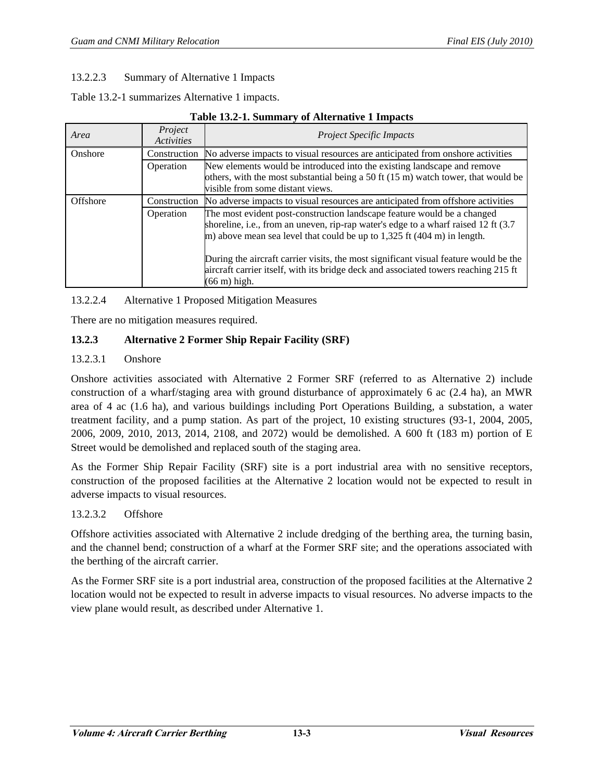## 13.2.2.3 Summary of Alternative 1 Impacts

Table 13.2-1 summarizes Alternative 1 impacts.

| Tuble Iola II builling you internative I milpacto |                       |                                                                                                                                                                                                                                                                                                                                                                                                                                                      |  |  |
|---------------------------------------------------|-----------------------|------------------------------------------------------------------------------------------------------------------------------------------------------------------------------------------------------------------------------------------------------------------------------------------------------------------------------------------------------------------------------------------------------------------------------------------------------|--|--|
| Area                                              | Project<br>Activities | <b>Project Specific Impacts</b>                                                                                                                                                                                                                                                                                                                                                                                                                      |  |  |
| Onshore                                           | Construction          | No adverse impacts to visual resources are anticipated from onshore activities                                                                                                                                                                                                                                                                                                                                                                       |  |  |
|                                                   | Operation             | New elements would be introduced into the existing landscape and remove<br>others, with the most substantial being a 50 ft $(15 \text{ m})$ watch tower, that would be<br>visible from some distant views.                                                                                                                                                                                                                                           |  |  |
| Offshore                                          | Construction          | No adverse impacts to visual resources are anticipated from offshore activities                                                                                                                                                                                                                                                                                                                                                                      |  |  |
|                                                   | Operation             | The most evident post-construction landscape feature would be a changed<br>shoreline, i.e., from an uneven, rip-rap water's edge to a wharf raised 12 ft (3.7)<br>m) above mean sea level that could be up to $1,325$ ft (404 m) in length.<br>During the aircraft carrier visits, the most significant visual feature would be the<br>aircraft carrier itself, with its bridge deck and associated towers reaching 215 ft<br>$(66 \text{ m})$ high. |  |  |

## **Table 13.2-1. Summary of Alternative 1 Impacts**

13.2.2.4 Alternative 1 Proposed Mitigation Measures

There are no mitigation measures required.

## **13.2.3 Alternative 2 Former Ship Repair Facility (SRF)**

## 13.2.3.1 Onshore

Onshore activities associated with Alternative 2 Former SRF (referred to as Alternative 2) include construction of a wharf/staging area with ground disturbance of approximately 6 ac (2.4 ha), an MWR area of 4 ac (1.6 ha), and various buildings including Port Operations Building, a substation, a water treatment facility, and a pump station. As part of the project, 10 existing structures (93-1, 2004, 2005, 2006, 2009, 2010, 2013, 2014, 2108, and 2072) would be demolished. A 600 ft (183 m) portion of E Street would be demolished and replaced south of the staging area.

As the Former Ship Repair Facility (SRF) site is a port industrial area with no sensitive receptors, construction of the proposed facilities at the Alternative 2 location would not be expected to result in adverse impacts to visual resources.

## 13.2.3.2 Offshore

Offshore activities associated with Alternative 2 include dredging of the berthing area, the turning basin, and the channel bend; construction of a wharf at the Former SRF site; and the operations associated with the berthing of the aircraft carrier.

As the Former SRF site is a port industrial area, construction of the proposed facilities at the Alternative 2 location would not be expected to result in adverse impacts to visual resources. No adverse impacts to the view plane would result, as described under Alternative 1.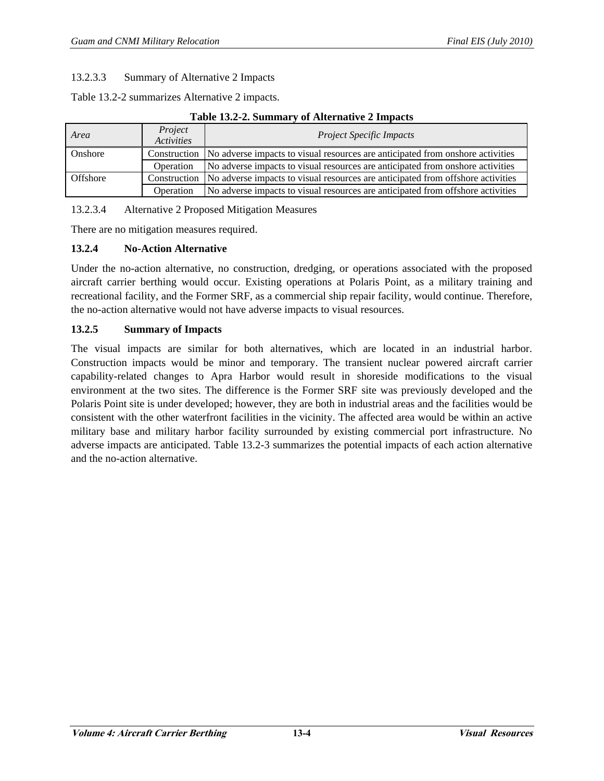## 13.2.3.3 Summary of Alternative 2 Impacts

Table 13.2-2 summarizes Alternative 2 impacts.

#### **Table 13.2-2. Summary of Alternative 2 Impacts**

| Area            | Project<br><i><u><b>Activities</b></u></i> | <b>Project Specific Impacts</b>                                                               |  |
|-----------------|--------------------------------------------|-----------------------------------------------------------------------------------------------|--|
| Onshore         |                                            | Construction   No adverse impacts to visual resources are anticipated from onshore activities |  |
|                 | Operation                                  | No adverse impacts to visual resources are anticipated from onshore activities                |  |
| <b>Offshore</b> |                                            | Construction No adverse impacts to visual resources are anticipated from offshore activities  |  |
|                 | Operation                                  | No adverse impacts to visual resources are anticipated from offshore activities               |  |

13.2.3.4 Alternative 2 Proposed Mitigation Measures

There are no mitigation measures required.

## **13.2.4 No-Action Alternative**

Under the no-action alternative, no construction, dredging, or operations associated with the proposed aircraft carrier berthing would occur. Existing operations at Polaris Point, as a military training and recreational facility, and the Former SRF, as a commercial ship repair facility, would continue. Therefore, the no-action alternative would not have adverse impacts to visual resources.

## **13.2.5 Summary of Impacts**

The visual impacts are similar for both alternatives, which are located in an industrial harbor. Construction impacts would be minor and temporary. The transient nuclear powered aircraft carrier capability-related changes to Apra Harbor would result in shoreside modifications to the visual environment at the two sites. The difference is the Former SRF site was previously developed and the Polaris Point site is under developed; however, they are both in industrial areas and the facilities would be consistent with the other waterfront facilities in the vicinity. The affected area would be within an active military base and military harbor facility surrounded by existing commercial port infrastructure. No adverse impacts are anticipated. Table 13.2-3 summarizes the potential impacts of each action alternative and the no-action alternative.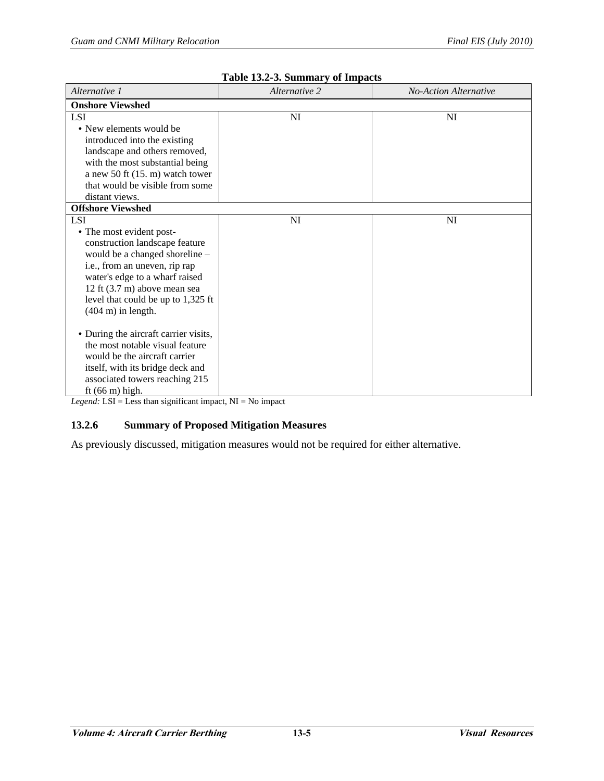| Alternative 1                         | Alternative 2 | <b>No-Action Alternative</b> |  |  |  |  |
|---------------------------------------|---------------|------------------------------|--|--|--|--|
| <b>Onshore Viewshed</b>               |               |                              |  |  |  |  |
| <b>LSI</b>                            | NI            | NI                           |  |  |  |  |
| • New elements would be               |               |                              |  |  |  |  |
| introduced into the existing          |               |                              |  |  |  |  |
| landscape and others removed,         |               |                              |  |  |  |  |
| with the most substantial being       |               |                              |  |  |  |  |
| a new 50 ft $(15. m)$ watch tower     |               |                              |  |  |  |  |
| that would be visible from some       |               |                              |  |  |  |  |
| distant views.                        |               |                              |  |  |  |  |
| <b>Offshore Viewshed</b>              |               |                              |  |  |  |  |
| <b>LSI</b>                            | NI            | NI                           |  |  |  |  |
| • The most evident post-              |               |                              |  |  |  |  |
| construction landscape feature        |               |                              |  |  |  |  |
| would be a changed shoreline -        |               |                              |  |  |  |  |
| i.e., from an uneven, rip rap         |               |                              |  |  |  |  |
| water's edge to a wharf raised        |               |                              |  |  |  |  |
| 12 ft (3.7 m) above mean sea          |               |                              |  |  |  |  |
| level that could be up to 1,325 ft    |               |                              |  |  |  |  |
| $(404 \text{ m})$ in length.          |               |                              |  |  |  |  |
|                                       |               |                              |  |  |  |  |
| • During the aircraft carrier visits, |               |                              |  |  |  |  |
| the most notable visual feature       |               |                              |  |  |  |  |
| would be the aircraft carrier         |               |                              |  |  |  |  |
| itself, with its bridge deck and      |               |                              |  |  |  |  |
| associated towers reaching 215        |               |                              |  |  |  |  |
| ft $(66 \text{ m})$ high.             |               |                              |  |  |  |  |

| Table 13.2-3. Summary of Impacts |  |
|----------------------------------|--|
|----------------------------------|--|

*Legend:* LSI = Less than significant impact, NI = No impact

## **13.2.6 Summary of Proposed Mitigation Measures**

As previously discussed, mitigation measures would not be required for either alternative.